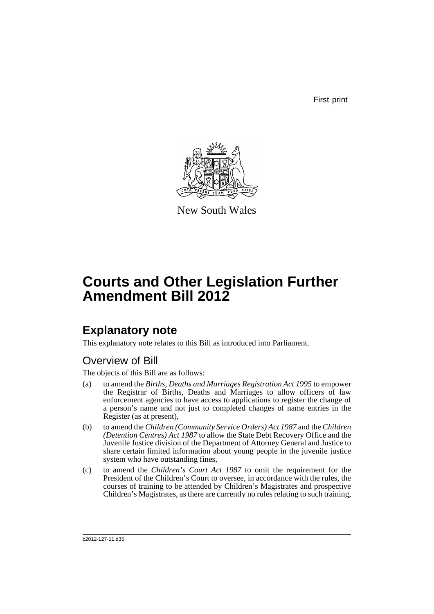First print



New South Wales

# **Courts and Other Legislation Further Amendment Bill 2012**

### **Explanatory note**

This explanatory note relates to this Bill as introduced into Parliament.

### Overview of Bill

The objects of this Bill are as follows:

- (a) to amend the *Births, Deaths and Marriages Registration Act 1995* to empower the Registrar of Births, Deaths and Marriages to allow officers of law enforcement agencies to have access to applications to register the change of a person's name and not just to completed changes of name entries in the Register (as at present),
- (b) to amend the *Children (Community Service Orders) Act 1987* and the *Children (Detention Centres) Act 1987* to allow the State Debt Recovery Office and the Juvenile Justice division of the Department of Attorney General and Justice to share certain limited information about young people in the juvenile justice system who have outstanding fines,
- (c) to amend the *Children's Court Act 1987* to omit the requirement for the President of the Children's Court to oversee, in accordance with the rules, the courses of training to be attended by Children's Magistrates and prospective Children's Magistrates, as there are currently no rules relating to such training,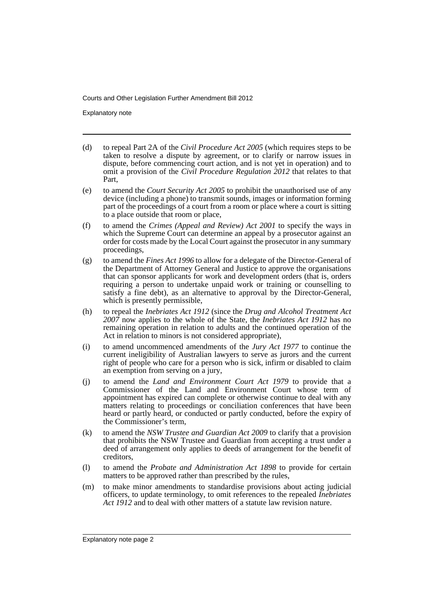Explanatory note

- (d) to repeal Part 2A of the *Civil Procedure Act 2005* (which requires steps to be taken to resolve a dispute by agreement, or to clarify or narrow issues in dispute, before commencing court action, and is not yet in operation) and to omit a provision of the *Civil Procedure Regulation 2012* that relates to that Part,
- (e) to amend the *Court Security Act 2005* to prohibit the unauthorised use of any device (including a phone) to transmit sounds, images or information forming part of the proceedings of a court from a room or place where a court is sitting to a place outside that room or place,
- (f) to amend the *Crimes (Appeal and Review) Act 2001* to specify the ways in which the Supreme Court can determine an appeal by a prosecutor against an order for costs made by the Local Court against the prosecutor in any summary proceedings,
- (g) to amend the *Fines Act 1996* to allow for a delegate of the Director-General of the Department of Attorney General and Justice to approve the organisations that can sponsor applicants for work and development orders (that is, orders requiring a person to undertake unpaid work or training or counselling to satisfy a fine debt), as an alternative to approval by the Director-General, which is presently permissible,
- (h) to repeal the *Inebriates Act 1912* (since the *Drug and Alcohol Treatment Act 2007* now applies to the whole of the State, the *Inebriates Act 1912* has no remaining operation in relation to adults and the continued operation of the Act in relation to minors is not considered appropriate),
- (i) to amend uncommenced amendments of the *Jury Act 1977* to continue the current ineligibility of Australian lawyers to serve as jurors and the current right of people who care for a person who is sick, infirm or disabled to claim an exemption from serving on a jury,
- (j) to amend the *Land and Environment Court Act 1979* to provide that a Commissioner of the Land and Environment Court whose term of appointment has expired can complete or otherwise continue to deal with any matters relating to proceedings or conciliation conferences that have been heard or partly heard, or conducted or partly conducted, before the expiry of the Commissioner's term,
- (k) to amend the *NSW Trustee and Guardian Act 2009* to clarify that a provision that prohibits the NSW Trustee and Guardian from accepting a trust under a deed of arrangement only applies to deeds of arrangement for the benefit of creditors,
- (l) to amend the *Probate and Administration Act 1898* to provide for certain matters to be approved rather than prescribed by the rules,
- (m) to make minor amendments to standardise provisions about acting judicial officers, to update terminology, to omit references to the repealed *Inebriates Act 1912* and to deal with other matters of a statute law revision nature.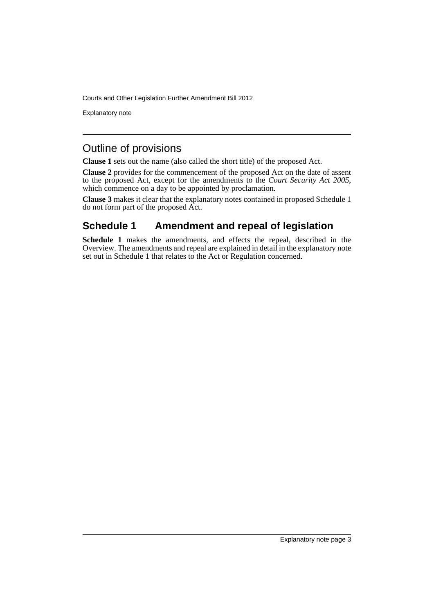Explanatory note

### Outline of provisions

**Clause 1** sets out the name (also called the short title) of the proposed Act.

**Clause 2** provides for the commencement of the proposed Act on the date of assent to the proposed Act, except for the amendments to the *Court Security Act 2005*, which commence on a day to be appointed by proclamation.

**Clause 3** makes it clear that the explanatory notes contained in proposed Schedule 1 do not form part of the proposed Act.

### **Schedule 1 Amendment and repeal of legislation**

**Schedule 1** makes the amendments, and effects the repeal, described in the Overview. The amendments and repeal are explained in detail in the explanatory note set out in Schedule 1 that relates to the Act or Regulation concerned.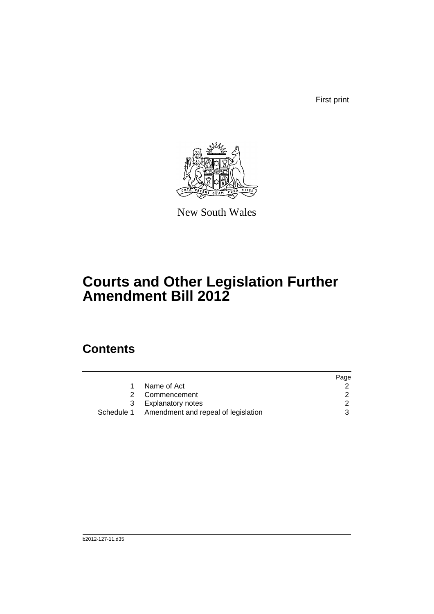First print



New South Wales

# **Courts and Other Legislation Further Amendment Bill 2012**

### **Contents**

|            |                                     | Page |
|------------|-------------------------------------|------|
|            | Name of Act                         |      |
|            | Commencement                        |      |
| 3          | Explanatory notes                   |      |
| Schedule 1 | Amendment and repeal of legislation | 3    |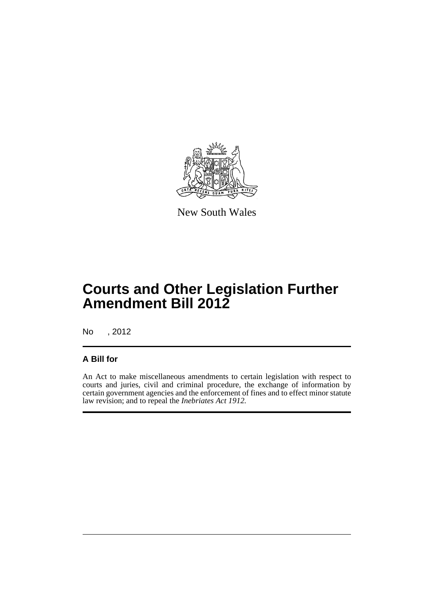

New South Wales

## **Courts and Other Legislation Further Amendment Bill 2012**

No , 2012

### **A Bill for**

An Act to make miscellaneous amendments to certain legislation with respect to courts and juries, civil and criminal procedure, the exchange of information by certain government agencies and the enforcement of fines and to effect minor statute law revision; and to repeal the *Inebriates Act 1912.*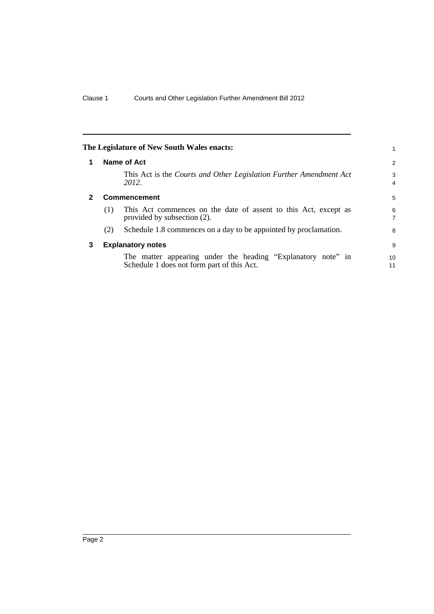<span id="page-7-2"></span><span id="page-7-1"></span><span id="page-7-0"></span>

|              |     | The Legislature of New South Wales enacts:                                                                 |                     |
|--------------|-----|------------------------------------------------------------------------------------------------------------|---------------------|
| 1            |     | Name of Act                                                                                                | 2                   |
|              |     | This Act is the Courts and Other Legislation Further Amendment Act<br>2012.                                | 3<br>$\overline{4}$ |
| $\mathbf{2}$ |     | <b>Commencement</b>                                                                                        | 5                   |
|              | (1) | This Act commences on the date of assent to this Act, except as<br>provided by subsection (2).             | 6<br>7              |
|              | (2) | Schedule 1.8 commences on a day to be appointed by proclamation.                                           | 8                   |
| 3            |     | <b>Explanatory notes</b>                                                                                   | 9                   |
|              |     | The matter appearing under the heading "Explanatory note" in<br>Schedule 1 does not form part of this Act. | 10<br>11            |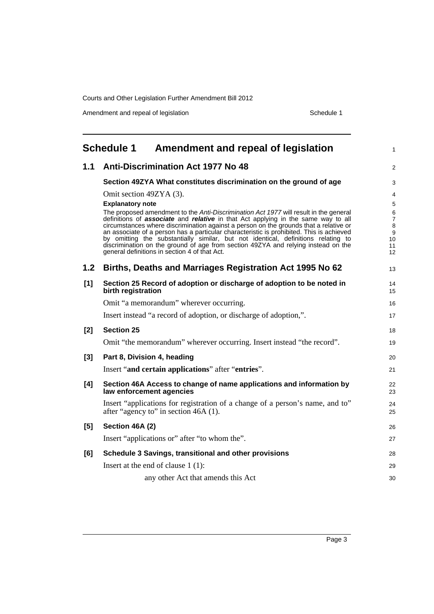Amendment and repeal of legislation Schedule 1

<span id="page-8-0"></span>

|                  | <b>Schedule 1</b><br>Amendment and repeal of legislation                                                                                                                                                                                                                                                                                                                                                                                                                                                                                                                                                 | 1                                  |
|------------------|----------------------------------------------------------------------------------------------------------------------------------------------------------------------------------------------------------------------------------------------------------------------------------------------------------------------------------------------------------------------------------------------------------------------------------------------------------------------------------------------------------------------------------------------------------------------------------------------------------|------------------------------------|
| 1.1              | <b>Anti-Discrimination Act 1977 No 48</b>                                                                                                                                                                                                                                                                                                                                                                                                                                                                                                                                                                | $\overline{2}$                     |
|                  | Section 49ZYA What constitutes discrimination on the ground of age                                                                                                                                                                                                                                                                                                                                                                                                                                                                                                                                       | 3                                  |
|                  | Omit section 49ZYA (3).                                                                                                                                                                                                                                                                                                                                                                                                                                                                                                                                                                                  | 4                                  |
|                  | <b>Explanatory note</b>                                                                                                                                                                                                                                                                                                                                                                                                                                                                                                                                                                                  | 5                                  |
|                  | The proposed amendment to the Anti-Discrimination Act 1977 will result in the general<br>definitions of <b>associate</b> and <b>relative</b> in that Act applying in the same way to all<br>circumstances where discrimination against a person on the grounds that a relative or<br>an associate of a person has a particular characteristic is prohibited. This is achieved<br>by omitting the substantially similar, but not identical, definitions relating to<br>discrimination on the ground of age from section 49ZYA and relying instead on the<br>general definitions in section 4 of that Act. | 6<br>7<br>8<br>9<br>10<br>11<br>12 |
| 1.2 <sub>2</sub> | Births, Deaths and Marriages Registration Act 1995 No 62                                                                                                                                                                                                                                                                                                                                                                                                                                                                                                                                                 | 13                                 |
| [1]              | Section 25 Record of adoption or discharge of adoption to be noted in<br>birth registration                                                                                                                                                                                                                                                                                                                                                                                                                                                                                                              | 14<br>15                           |
|                  | Omit "a memorandum" wherever occurring.                                                                                                                                                                                                                                                                                                                                                                                                                                                                                                                                                                  | 16                                 |
|                  | Insert instead "a record of adoption, or discharge of adoption,".                                                                                                                                                                                                                                                                                                                                                                                                                                                                                                                                        | 17                                 |
| $[2]$            | <b>Section 25</b>                                                                                                                                                                                                                                                                                                                                                                                                                                                                                                                                                                                        | 18                                 |
|                  | Omit "the memorandum" wherever occurring. Insert instead "the record".                                                                                                                                                                                                                                                                                                                                                                                                                                                                                                                                   | 19                                 |
| $[3]$            | Part 8, Division 4, heading                                                                                                                                                                                                                                                                                                                                                                                                                                                                                                                                                                              | 20                                 |
|                  | Insert "and certain applications" after "entries".                                                                                                                                                                                                                                                                                                                                                                                                                                                                                                                                                       | 21                                 |
| [4]              | Section 46A Access to change of name applications and information by<br>law enforcement agencies                                                                                                                                                                                                                                                                                                                                                                                                                                                                                                         | 22<br>23                           |
|                  | Insert "applications for registration of a change of a person's name, and to"<br>after "agency to" in section 46A (1).                                                                                                                                                                                                                                                                                                                                                                                                                                                                                   | 24<br>25                           |
| [5]              | Section 46A (2)                                                                                                                                                                                                                                                                                                                                                                                                                                                                                                                                                                                          | 26                                 |
|                  | Insert "applications or" after "to whom the".                                                                                                                                                                                                                                                                                                                                                                                                                                                                                                                                                            | 27                                 |
| [6]              | Schedule 3 Savings, transitional and other provisions                                                                                                                                                                                                                                                                                                                                                                                                                                                                                                                                                    | 28                                 |
|                  | Insert at the end of clause $1(1)$ :                                                                                                                                                                                                                                                                                                                                                                                                                                                                                                                                                                     | 29                                 |
|                  | any other Act that amends this Act                                                                                                                                                                                                                                                                                                                                                                                                                                                                                                                                                                       | 30                                 |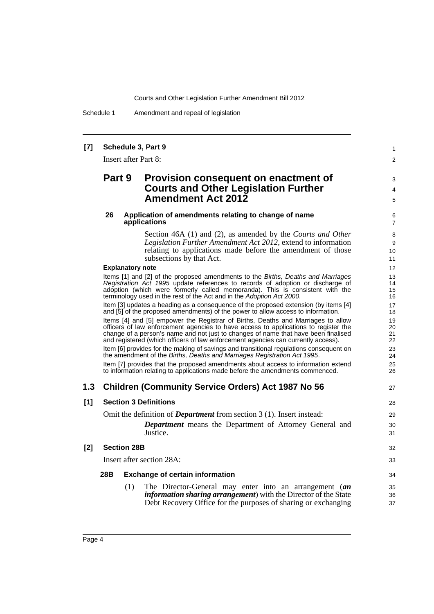Schedule 1 Amendment and repeal of legislation

#### **[7] Schedule 3, Part 9**

Insert after Part 8:

### **Part 9 Provision consequent on enactment of Courts and Other Legislation Further Amendment Act 2012**

#### **26 Application of amendments relating to change of name applications**

Section 46A (1) and (2), as amended by the *Courts and Other Legislation Further Amendment Act 2012*, extend to information relating to applications made before the amendment of those subsections by that Act.

1  $\mathfrak{p}$ 

3 4 5

27

#### **Explanatory note**

Items [1] and [2] of the proposed amendments to the *Births, Deaths and Marriages Registration Act 1995* update references to records of adoption or discharge of adoption (which were formerly called memoranda). This is consistent with the terminology used in the rest of the Act and in the *Adoption Act 2000*. Item [3] updates a heading as a consequence of the proposed extension (by items [4]

and [5] of the proposed amendments) of the power to allow access to information. Items [4] and [5] empower the Registrar of Births, Deaths and Marriages to allow

officers of law enforcement agencies to have access to applications to register the change of a person's name and not just to changes of name that have been finalised and registered (which officers of law enforcement agencies can currently access).

Item [6] provides for the making of savings and transitional regulations consequent on the amendment of the *Births, Deaths and Marriages Registration Act 1995*.

Item [7] provides that the proposed amendments about access to information extend to information relating to applications made before the amendments commenced.

#### **1.3 Children (Community Service Orders) Act 1987 No 56**

#### **[1] Section 3 Definitions**

Omit the definition of *Department* from section 3 (1). Insert instead: *Department* means the Department of Attorney General and Justice.

#### **[2] Section 28B**

Insert after section 28A:

#### **28B Exchange of certain information**

(1) The Director-General may enter into an arrangement (*an information sharing arrangement*) with the Director of the State Debt Recovery Office for the purposes of sharing or exchanging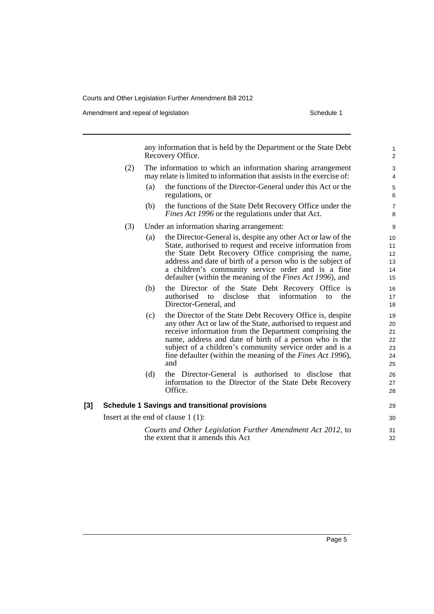Amendment and repeal of legislation Schedule 1 and Schedule 1

any information that is held by the Department or the State Debt Recovery Office. (2) The information to which an information sharing arrangement may relate is limited to information that assists in the exercise of: (a) the functions of the Director-General under this Act or the regulations, or (b) the functions of the State Debt Recovery Office under the *Fines Act 1996* or the regulations under that Act. (3) Under an information sharing arrangement: (a) the Director-General is, despite any other Act or law of the State, authorised to request and receive information from the State Debt Recovery Office comprising the name, address and date of birth of a person who is the subject of a children's community service order and is a fine defaulter (within the meaning of the *Fines Act 1996*), and (b) the Director of the State Debt Recovery Office is authorised to disclose that information to the Director-General, and (c) the Director of the State Debt Recovery Office is, despite any other Act or law of the State, authorised to request and receive information from the Department comprising the name, address and date of birth of a person who is the subject of a children's community service order and is a fine defaulter (within the meaning of the *Fines Act 1996*), and (d) the Director-General is authorised to disclose that information to the Director of the State Debt Recovery Office. **[3] Schedule 1 Savings and transitional provisions** Insert at the end of clause 1 (1): *Courts and Other Legislation Further Amendment Act 2012*, to the extent that it amends this Act 1 2 3 4 5 6 7 8 9 10 11 12 13 14 15 16 17 18 19 20 21 22 23 24 25 26 27 28 29 30 31 32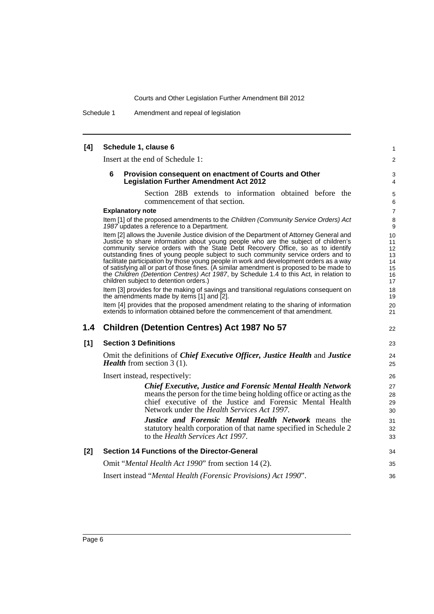Schedule 1 Amendment and repeal of legislation

| [4]   | Schedule 1, clause 6                                                                                                                                                                                                                                                                                                                                                                                                                                                                                                                                                                                                                                                           | 1                                            |
|-------|--------------------------------------------------------------------------------------------------------------------------------------------------------------------------------------------------------------------------------------------------------------------------------------------------------------------------------------------------------------------------------------------------------------------------------------------------------------------------------------------------------------------------------------------------------------------------------------------------------------------------------------------------------------------------------|----------------------------------------------|
|       | Insert at the end of Schedule 1:                                                                                                                                                                                                                                                                                                                                                                                                                                                                                                                                                                                                                                               | $\overline{2}$                               |
|       | 6<br>Provision consequent on enactment of Courts and Other<br><b>Legislation Further Amendment Act 2012</b>                                                                                                                                                                                                                                                                                                                                                                                                                                                                                                                                                                    | 3<br>4                                       |
|       | Section 28B extends to information obtained before the<br>commencement of that section.                                                                                                                                                                                                                                                                                                                                                                                                                                                                                                                                                                                        | $\mathbf 5$<br>6                             |
|       | <b>Explanatory note</b>                                                                                                                                                                                                                                                                                                                                                                                                                                                                                                                                                                                                                                                        | $\overline{7}$                               |
|       | Item [1] of the proposed amendments to the Children (Community Service Orders) Act<br>1987 updates a reference to a Department.                                                                                                                                                                                                                                                                                                                                                                                                                                                                                                                                                | 8<br>9                                       |
|       | Item [2] allows the Juvenile Justice division of the Department of Attorney General and<br>Justice to share information about young people who are the subject of children's<br>community service orders with the State Debt Recovery Office, so as to identify<br>outstanding fines of young people subject to such community service orders and to<br>facilitate participation by those young people in work and development orders as a way<br>of satisfying all or part of those fines. (A similar amendment is proposed to be made to<br>the Children (Detention Centres) Act 1987, by Schedule 1.4 to this Act, in relation to<br>children subject to detention orders.) | 10<br>11<br>12<br>13<br>14<br>15<br>16<br>17 |
|       | Item [3] provides for the making of savings and transitional regulations consequent on<br>the amendments made by items [1] and [2].                                                                                                                                                                                                                                                                                                                                                                                                                                                                                                                                            | 18<br>19                                     |
|       | Item [4] provides that the proposed amendment relating to the sharing of information<br>extends to information obtained before the commencement of that amendment.                                                                                                                                                                                                                                                                                                                                                                                                                                                                                                             | 20<br>21                                     |
| 1.4   | <b>Children (Detention Centres) Act 1987 No 57</b>                                                                                                                                                                                                                                                                                                                                                                                                                                                                                                                                                                                                                             | 22                                           |
| [1]   | <b>Section 3 Definitions</b>                                                                                                                                                                                                                                                                                                                                                                                                                                                                                                                                                                                                                                                   | 23                                           |
|       | Omit the definitions of Chief Executive Officer, Justice Health and Justice<br><i>Health</i> from section $3(1)$ .                                                                                                                                                                                                                                                                                                                                                                                                                                                                                                                                                             | 24<br>25                                     |
|       | Insert instead, respectively:                                                                                                                                                                                                                                                                                                                                                                                                                                                                                                                                                                                                                                                  | 26                                           |
|       | <b>Chief Executive, Justice and Forensic Mental Health Network</b><br>means the person for the time being holding office or acting as the<br>chief executive of the Justice and Forensic Mental Health<br>Network under the <i>Health Services Act 1997</i> .                                                                                                                                                                                                                                                                                                                                                                                                                  | 27<br>28<br>29<br>30                         |
|       | Justice and Forensic Mental Health Network means the<br>statutory health corporation of that name specified in Schedule 2<br>to the Health Services Act 1997.                                                                                                                                                                                                                                                                                                                                                                                                                                                                                                                  | 31<br>32<br>33                               |
| $[2]$ | Section 14 Functions of the Director-General                                                                                                                                                                                                                                                                                                                                                                                                                                                                                                                                                                                                                                   | 34                                           |
|       | Omit "Mental Health Act 1990" from section 14 (2).                                                                                                                                                                                                                                                                                                                                                                                                                                                                                                                                                                                                                             | 35                                           |
|       | Insert instead "Mental Health (Forensic Provisions) Act 1990".                                                                                                                                                                                                                                                                                                                                                                                                                                                                                                                                                                                                                 | 36                                           |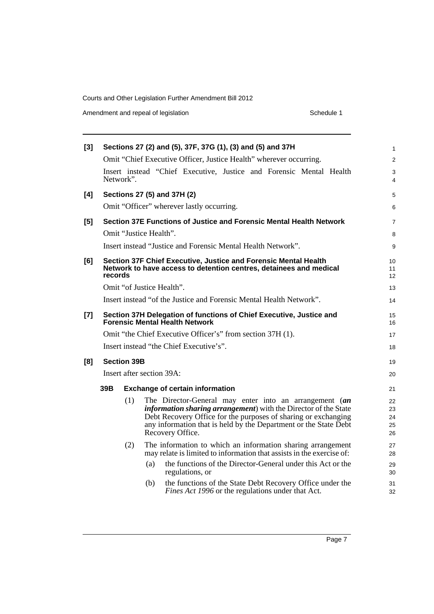Amendment and repeal of legislation Schedule 1

|     |     |                      |                    |                                                                                  |                                                                                                             |                                                                                                                                |                                                                                                                          |                                                                                                                                                                                                                                                                | $\mathbf{1}$                                                                                                                                                                                                                                                                                                                                                                                                                                                                                                                                                                                                                                                                                                                                                                                                                                                                                              |
|-----|-----|----------------------|--------------------|----------------------------------------------------------------------------------|-------------------------------------------------------------------------------------------------------------|--------------------------------------------------------------------------------------------------------------------------------|--------------------------------------------------------------------------------------------------------------------------|----------------------------------------------------------------------------------------------------------------------------------------------------------------------------------------------------------------------------------------------------------------|-----------------------------------------------------------------------------------------------------------------------------------------------------------------------------------------------------------------------------------------------------------------------------------------------------------------------------------------------------------------------------------------------------------------------------------------------------------------------------------------------------------------------------------------------------------------------------------------------------------------------------------------------------------------------------------------------------------------------------------------------------------------------------------------------------------------------------------------------------------------------------------------------------------|
|     |     |                      |                    |                                                                                  |                                                                                                             |                                                                                                                                |                                                                                                                          |                                                                                                                                                                                                                                                                | $\overline{2}$                                                                                                                                                                                                                                                                                                                                                                                                                                                                                                                                                                                                                                                                                                                                                                                                                                                                                            |
|     |     |                      |                    |                                                                                  |                                                                                                             |                                                                                                                                |                                                                                                                          |                                                                                                                                                                                                                                                                | 3<br>4                                                                                                                                                                                                                                                                                                                                                                                                                                                                                                                                                                                                                                                                                                                                                                                                                                                                                                    |
|     |     |                      |                    |                                                                                  |                                                                                                             |                                                                                                                                |                                                                                                                          |                                                                                                                                                                                                                                                                | 5                                                                                                                                                                                                                                                                                                                                                                                                                                                                                                                                                                                                                                                                                                                                                                                                                                                                                                         |
|     |     |                      |                    |                                                                                  |                                                                                                             |                                                                                                                                |                                                                                                                          |                                                                                                                                                                                                                                                                | 6                                                                                                                                                                                                                                                                                                                                                                                                                                                                                                                                                                                                                                                                                                                                                                                                                                                                                                         |
|     |     |                      |                    |                                                                                  |                                                                                                             |                                                                                                                                |                                                                                                                          |                                                                                                                                                                                                                                                                | $\overline{7}$                                                                                                                                                                                                                                                                                                                                                                                                                                                                                                                                                                                                                                                                                                                                                                                                                                                                                            |
|     |     |                      |                    |                                                                                  |                                                                                                             |                                                                                                                                |                                                                                                                          |                                                                                                                                                                                                                                                                | 8                                                                                                                                                                                                                                                                                                                                                                                                                                                                                                                                                                                                                                                                                                                                                                                                                                                                                                         |
|     |     |                      |                    |                                                                                  |                                                                                                             |                                                                                                                                |                                                                                                                          |                                                                                                                                                                                                                                                                | 9                                                                                                                                                                                                                                                                                                                                                                                                                                                                                                                                                                                                                                                                                                                                                                                                                                                                                                         |
|     |     |                      |                    |                                                                                  |                                                                                                             |                                                                                                                                |                                                                                                                          |                                                                                                                                                                                                                                                                | 10<br>11<br>12                                                                                                                                                                                                                                                                                                                                                                                                                                                                                                                                                                                                                                                                                                                                                                                                                                                                                            |
|     |     |                      |                    |                                                                                  |                                                                                                             |                                                                                                                                |                                                                                                                          |                                                                                                                                                                                                                                                                | 13                                                                                                                                                                                                                                                                                                                                                                                                                                                                                                                                                                                                                                                                                                                                                                                                                                                                                                        |
|     |     |                      |                    |                                                                                  |                                                                                                             |                                                                                                                                |                                                                                                                          |                                                                                                                                                                                                                                                                | 14                                                                                                                                                                                                                                                                                                                                                                                                                                                                                                                                                                                                                                                                                                                                                                                                                                                                                                        |
|     |     |                      |                    |                                                                                  |                                                                                                             |                                                                                                                                |                                                                                                                          |                                                                                                                                                                                                                                                                | 15<br>16                                                                                                                                                                                                                                                                                                                                                                                                                                                                                                                                                                                                                                                                                                                                                                                                                                                                                                  |
|     |     |                      |                    |                                                                                  |                                                                                                             |                                                                                                                                |                                                                                                                          |                                                                                                                                                                                                                                                                | 17                                                                                                                                                                                                                                                                                                                                                                                                                                                                                                                                                                                                                                                                                                                                                                                                                                                                                                        |
|     |     |                      |                    |                                                                                  |                                                                                                             |                                                                                                                                |                                                                                                                          |                                                                                                                                                                                                                                                                | 18                                                                                                                                                                                                                                                                                                                                                                                                                                                                                                                                                                                                                                                                                                                                                                                                                                                                                                        |
|     |     |                      |                    |                                                                                  |                                                                                                             |                                                                                                                                |                                                                                                                          |                                                                                                                                                                                                                                                                | 19                                                                                                                                                                                                                                                                                                                                                                                                                                                                                                                                                                                                                                                                                                                                                                                                                                                                                                        |
|     |     |                      |                    |                                                                                  |                                                                                                             |                                                                                                                                |                                                                                                                          |                                                                                                                                                                                                                                                                | 20                                                                                                                                                                                                                                                                                                                                                                                                                                                                                                                                                                                                                                                                                                                                                                                                                                                                                                        |
| 39B |     |                      |                    |                                                                                  |                                                                                                             |                                                                                                                                |                                                                                                                          |                                                                                                                                                                                                                                                                | 21                                                                                                                                                                                                                                                                                                                                                                                                                                                                                                                                                                                                                                                                                                                                                                                                                                                                                                        |
|     | (1) |                      |                    |                                                                                  |                                                                                                             |                                                                                                                                |                                                                                                                          |                                                                                                                                                                                                                                                                | 22<br>23<br>24<br>25<br>26                                                                                                                                                                                                                                                                                                                                                                                                                                                                                                                                                                                                                                                                                                                                                                                                                                                                                |
|     | (2) |                      |                    |                                                                                  |                                                                                                             |                                                                                                                                |                                                                                                                          |                                                                                                                                                                                                                                                                | 27<br>28                                                                                                                                                                                                                                                                                                                                                                                                                                                                                                                                                                                                                                                                                                                                                                                                                                                                                                  |
|     |     | (a)                  |                    |                                                                                  |                                                                                                             |                                                                                                                                |                                                                                                                          |                                                                                                                                                                                                                                                                | 29<br>30                                                                                                                                                                                                                                                                                                                                                                                                                                                                                                                                                                                                                                                                                                                                                                                                                                                                                                  |
|     |     | (b)                  |                    |                                                                                  |                                                                                                             |                                                                                                                                |                                                                                                                          |                                                                                                                                                                                                                                                                | 31<br>32                                                                                                                                                                                                                                                                                                                                                                                                                                                                                                                                                                                                                                                                                                                                                                                                                                                                                                  |
|     |     | Network".<br>records | <b>Section 39B</b> | Omit "Justice Health".<br>Omit "of Justice Health".<br>Insert after section 39A: | Sections 27 (5) and 37H (2)<br><b>Forensic Mental Health Network</b><br>Recovery Office.<br>regulations, or | Omit "Officer" wherever lastly occurring.<br>Insert instead "the Chief Executive's".<br><b>Exchange of certain information</b> | Sections 27 (2) and (5), 37F, 37G (1), (3) and (5) and 37H<br>Omit "the Chief Executive Officer's" from section 37H (1). | Omit "Chief Executive Officer, Justice Health" wherever occurring.<br>Insert instead "Justice and Forensic Mental Health Network".<br>Insert instead "of the Justice and Forensic Mental Health Network".<br>Fines Act 1996 or the regulations under that Act. | Insert instead "Chief Executive, Justice and Forensic Mental Health<br>Section 37E Functions of Justice and Forensic Mental Health Network<br>Section 37F Chief Executive, Justice and Forensic Mental Health<br>Network to have access to detention centres, detainees and medical<br>Section 37H Delegation of functions of Chief Executive, Justice and<br>The Director-General may enter into an arrangement (an<br><i>information sharing arrangement</i> ) with the Director of the State<br>Debt Recovery Office for the purposes of sharing or exchanging<br>any information that is held by the Department or the State Debt<br>The information to which an information sharing arrangement<br>may relate is limited to information that assists in the exercise of:<br>the functions of the Director-General under this Act or the<br>the functions of the State Debt Recovery Office under the |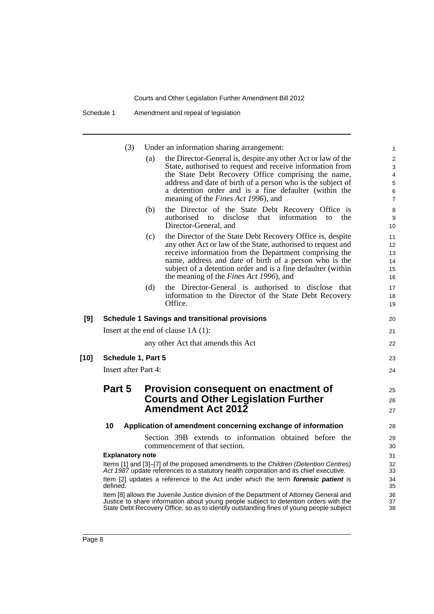Schedule 1 Amendment and repeal of legislation

| (3) |  | Under an information sharing arrangement: |
|-----|--|-------------------------------------------|
|     |  |                                           |

|     | (3)                                 |     | Under an information sharing arrangement:                                                                                                                                                                                                                                                                                                                                                                                                            | $\mathbf{1}$                                                  |
|-----|-------------------------------------|-----|------------------------------------------------------------------------------------------------------------------------------------------------------------------------------------------------------------------------------------------------------------------------------------------------------------------------------------------------------------------------------------------------------------------------------------------------------|---------------------------------------------------------------|
|     |                                     | (a) | the Director-General is, despite any other Act or law of the<br>State, authorised to request and receive information from<br>the State Debt Recovery Office comprising the name,<br>address and date of birth of a person who is the subject of<br>a detention order and is a fine defaulter (within the<br>meaning of the <i>Fines Act 1996</i> ), and                                                                                              | 2<br>3<br>$\overline{\mathbf{4}}$<br>5<br>6<br>$\overline{7}$ |
|     |                                     | (b) | the Director of the State Debt Recovery Office is<br>that<br>information<br>authorised to<br>disclose<br>the<br>to<br>Director-General, and                                                                                                                                                                                                                                                                                                          | 8<br>9<br>10                                                  |
|     |                                     | (c) | the Director of the State Debt Recovery Office is, despite<br>any other Act or law of the State, authorised to request and<br>receive information from the Department comprising the<br>name, address and date of birth of a person who is the<br>subject of a detention order and is a fine defaulter (within<br>the meaning of the <i>Fines Act 1996</i> ), and                                                                                    | 11<br>12<br>13<br>14<br>15<br>16                              |
|     |                                     | (d) | the Director-General is authorised to disclose that<br>information to the Director of the State Debt Recovery<br>Office.                                                                                                                                                                                                                                                                                                                             | 17<br>18<br>19                                                |
| [9] |                                     |     | <b>Schedule 1 Savings and transitional provisions</b>                                                                                                                                                                                                                                                                                                                                                                                                | 20                                                            |
|     |                                     |     | Insert at the end of clause $1A(1)$ :                                                                                                                                                                                                                                                                                                                                                                                                                | 21                                                            |
|     |                                     |     | any other Act that amends this Act                                                                                                                                                                                                                                                                                                                                                                                                                   | 22                                                            |
| 101 | Schedule 1, Part 5                  |     |                                                                                                                                                                                                                                                                                                                                                                                                                                                      | 23                                                            |
|     | <b>Insert after Part 4:</b>         |     |                                                                                                                                                                                                                                                                                                                                                                                                                                                      | 24                                                            |
|     | Part 5                              |     | Provision consequent on enactment of<br><b>Courts and Other Legislation Further</b><br><b>Amendment Act 2012</b>                                                                                                                                                                                                                                                                                                                                     | 25<br>26<br>27                                                |
|     | 10                                  |     | Application of amendment concerning exchange of information                                                                                                                                                                                                                                                                                                                                                                                          | 28                                                            |
|     |                                     |     | Section 39B extends to information obtained before the<br>commencement of that section.                                                                                                                                                                                                                                                                                                                                                              | 29<br>30                                                      |
|     | <b>Explanatory note</b><br>defined. |     | Items [1] and [3]-[7] of the proposed amendments to the Children (Detention Centres)<br>Act 1987 update references to a statutory health corporation and its chief executive.<br>Item [2] updates a reference to the Act under which the term forensic patient is<br>Item [8] allows the Juvenile Justice division of the Department of Attorney General and<br>Justice to share information about young people subject to detention orders with the | 31<br>32<br>33<br>34<br>35<br>36<br>37                        |
|     |                                     |     | State Debt Recovery Office, so as to identify outstanding fines of young people subject                                                                                                                                                                                                                                                                                                                                                              | 38                                                            |

**[10]**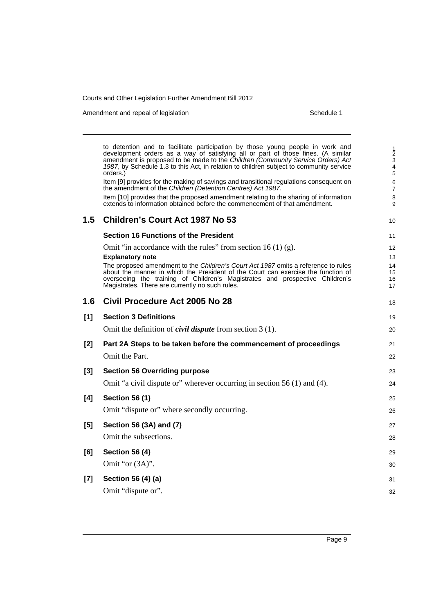Amendment and repeal of legislation Schedule 1 and Schedule 1

to detention and to facilitate participation by those young people in work and development orders as a way of satisfying all or part of those fines. (A similar amendment is proposed to be made to the *Children (Community Service Orders) Act 1987*, by Schedule 1.3 to this Act, in relation to children subject to community service orders.) Item [9] provides for the making of savings and transitional regulations consequent on the amendment of the *Children (Detention Centres) Act 1987*. Item [10] provides that the proposed amendment relating to the sharing of information extends to information obtained before the commencement of that amendment. **1.5 Children's Court Act 1987 No 53 Section 16 Functions of the President** Omit "in accordance with the rules" from section  $16(1)(g)$ . **Explanatory note** The proposed amendment to the *Children's Court Act 1987* omits a reference to rules about the manner in which the President of the Court can exercise the function of overseeing the training of Children's Magistrates and prospective Children's Magistrates. There are currently no such rules. **1.6 Civil Procedure Act 2005 No 28 [1] Section 3 Definitions** Omit the definition of *civil dispute* from section 3 (1). **[2] Part 2A Steps to be taken before the commencement of proceedings** Omit the Part. **[3] Section 56 Overriding purpose** Omit "a civil dispute or" wherever occurring in section 56 (1) and (4). **[4] Section 56 (1)** Omit "dispute or" where secondly occurring. **[5] Section 56 (3A) and (7)** Omit the subsections. **[6] Section 56 (4)** Omit "or (3A)". **[7] Section 56 (4) (a)** Omit "dispute or". 1 2 3 4 5 6 7 8 9 10 11 12 13 14 15 16 17 18 19 20 21 22 23 24 25 26 27 28 29 30 31 32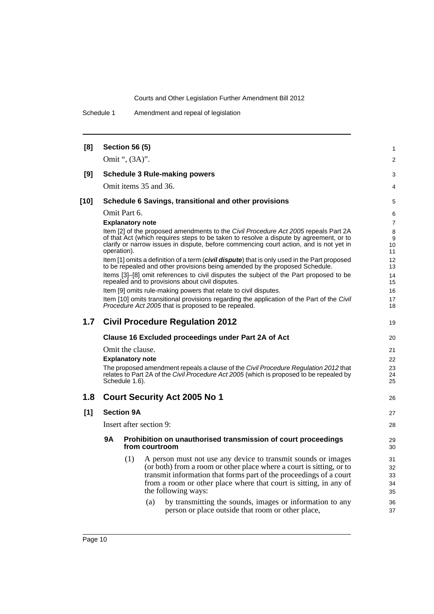Schedule 1 Amendment and repeal of legislation

| [8]    |                                           | <b>Section 56 (5)</b>   |                         |                                                                                                                                                                | 1              |  |  |
|--------|-------------------------------------------|-------------------------|-------------------------|----------------------------------------------------------------------------------------------------------------------------------------------------------------|----------------|--|--|
|        |                                           | Omit ", (3A)".          |                         |                                                                                                                                                                | $\overline{2}$ |  |  |
| [9]    |                                           |                         |                         | <b>Schedule 3 Rule-making powers</b>                                                                                                                           | 3              |  |  |
|        |                                           |                         | Omit items 35 and 36.   |                                                                                                                                                                | 4              |  |  |
| $[10]$ |                                           |                         |                         | Schedule 6 Savings, transitional and other provisions                                                                                                          | 5              |  |  |
|        |                                           | Omit Part 6.            |                         |                                                                                                                                                                | 6              |  |  |
|        |                                           | <b>Explanatory note</b> |                         |                                                                                                                                                                | $\overline{7}$ |  |  |
|        |                                           |                         |                         | Item [2] of the proposed amendments to the <i>Civil Procedure Act 2005</i> repeals Part 2A                                                                     | 8              |  |  |
|        |                                           |                         |                         | of that Act (which requires steps to be taken to resolve a dispute by agreement, or to                                                                         | 9              |  |  |
|        |                                           | operation).             |                         | clarify or narrow issues in dispute, before commencing court action, and is not yet in                                                                         | 10<br>11       |  |  |
|        |                                           |                         |                         | Item [1] omits a definition of a term ( <i>civil dispute</i> ) that is only used in the Part proposed                                                          | 12             |  |  |
|        |                                           |                         |                         | to be repealed and other provisions being amended by the proposed Schedule.                                                                                    | 13             |  |  |
|        |                                           |                         |                         | Items [3]-[8] omit references to civil disputes the subject of the Part proposed to be                                                                         | 14             |  |  |
|        |                                           |                         |                         | repealed and to provisions about civil disputes.                                                                                                               | 15             |  |  |
|        |                                           |                         |                         | Item [9] omits rule-making powers that relate to civil disputes.<br>Item [10] omits transitional provisions regarding the application of the Part of the Civil | 16<br>17       |  |  |
|        |                                           |                         |                         | Procedure Act 2005 that is proposed to be repealed.                                                                                                            | 18             |  |  |
| 1.7    |                                           |                         |                         | <b>Civil Procedure Regulation 2012</b>                                                                                                                         | 19             |  |  |
|        |                                           |                         |                         | Clause 16 Excluded proceedings under Part 2A of Act                                                                                                            | 20             |  |  |
|        |                                           | Omit the clause.        |                         |                                                                                                                                                                | 21             |  |  |
|        | <b>Explanatory note</b>                   |                         |                         |                                                                                                                                                                |                |  |  |
|        |                                           |                         |                         | The proposed amendment repeals a clause of the Civil Procedure Regulation 2012 that                                                                            | 22<br>23       |  |  |
|        |                                           |                         |                         | relates to Part 2A of the <i>Civil Procedure Act 2005</i> (which is proposed to be repealed by                                                                 | 24             |  |  |
|        |                                           | Schedule 1.6).          |                         |                                                                                                                                                                | 25             |  |  |
| 1.8    | <b>Court Security Act 2005 No 1</b><br>26 |                         |                         |                                                                                                                                                                |                |  |  |
| [1]    |                                           | <b>Section 9A</b>       |                         |                                                                                                                                                                | 27             |  |  |
|        |                                           |                         | Insert after section 9: |                                                                                                                                                                | 28             |  |  |
|        | <b>9A</b>                                 |                         | from courtroom          | Prohibition on unauthorised transmission of court proceedings                                                                                                  | 29<br>30       |  |  |
|        |                                           | (1)                     |                         | A person must not use any device to transmit sounds or images                                                                                                  | 31             |  |  |
|        |                                           |                         |                         | (or both) from a room or other place where a court is sitting, or to                                                                                           | 32             |  |  |
|        |                                           |                         |                         | transmit information that forms part of the proceedings of a court                                                                                             | 33             |  |  |
|        |                                           |                         |                         | from a room or other place where that court is sitting, in any of                                                                                              | 34             |  |  |
|        |                                           |                         |                         | the following ways:                                                                                                                                            | 35             |  |  |
|        |                                           |                         | (a)                     | by transmitting the sounds, images or information to any<br>person or place outside that room or other place,                                                  | 36<br>37       |  |  |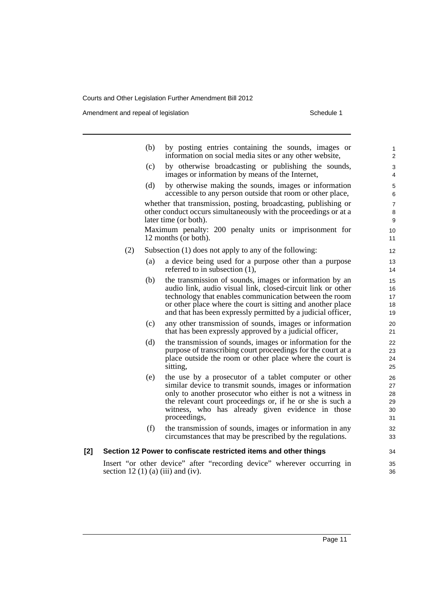Amendment and repeal of legislation Schedule 1

|     |     | (b) | by posting entries containing the sounds, images or<br>information on social media sites or any other website,                                                                                                                                                                                                  | $\mathbf{1}$<br>$\overline{2}$   |
|-----|-----|-----|-----------------------------------------------------------------------------------------------------------------------------------------------------------------------------------------------------------------------------------------------------------------------------------------------------------------|----------------------------------|
|     |     | (c) | by otherwise broadcasting or publishing the sounds,<br>images or information by means of the Internet,                                                                                                                                                                                                          | 3<br>4                           |
|     |     | (d) | by otherwise making the sounds, images or information<br>accessible to any person outside that room or other place,                                                                                                                                                                                             | 5<br>6                           |
|     |     |     | whether that transmission, posting, broadcasting, publishing or<br>other conduct occurs simultaneously with the proceedings or at a<br>later time (or both).                                                                                                                                                    | $\overline{7}$<br>8<br>9         |
|     |     |     | Maximum penalty: 200 penalty units or imprisonment for<br>12 months (or both).                                                                                                                                                                                                                                  | 10<br>11                         |
|     | (2) |     | Subsection (1) does not apply to any of the following:                                                                                                                                                                                                                                                          | 12                               |
|     |     | (a) | a device being used for a purpose other than a purpose<br>referred to in subsection $(1)$ ,                                                                                                                                                                                                                     | 13<br>14                         |
|     |     | (b) | the transmission of sounds, images or information by an<br>audio link, audio visual link, closed-circuit link or other<br>technology that enables communication between the room<br>or other place where the court is sitting and another place<br>and that has been expressly permitted by a judicial officer, | 15<br>16<br>17<br>18<br>19       |
|     |     | (c) | any other transmission of sounds, images or information<br>that has been expressly approved by a judicial officer,                                                                                                                                                                                              | 20<br>21                         |
|     |     | (d) | the transmission of sounds, images or information for the<br>purpose of transcribing court proceedings for the court at a<br>place outside the room or other place where the court is<br>sitting,                                                                                                               | 22<br>23<br>24<br>25             |
|     |     | (e) | the use by a prosecutor of a tablet computer or other<br>similar device to transmit sounds, images or information<br>only to another prosecutor who either is not a witness in<br>the relevant court proceedings or, if he or she is such a<br>witness, who has already given evidence in those<br>proceedings, | 26<br>27<br>28<br>29<br>30<br>31 |
|     |     | (f) | the transmission of sounds, images or information in any<br>circumstances that may be prescribed by the regulations.                                                                                                                                                                                            | 32<br>33                         |
| [2] |     |     | Section 12 Power to confiscate restricted items and other things                                                                                                                                                                                                                                                | 34                               |
|     |     |     | Insert "or other device" after "recording device" wherever occurring in<br>section 12 (1) (a) (iii) and (iv).                                                                                                                                                                                                   | 35<br>36                         |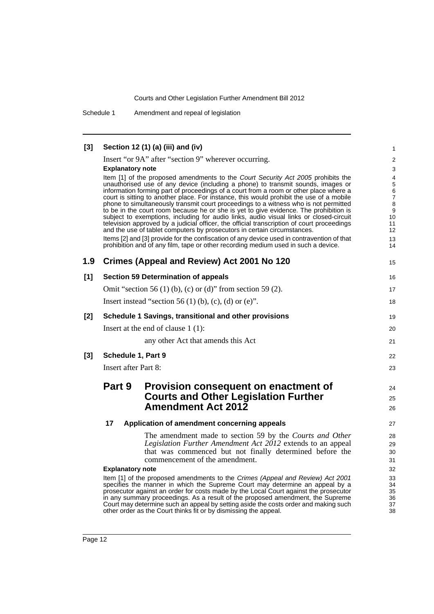Schedule 1 Amendment and repeal of legislation

| $[3]$            | Section 12 (1) (a) (iii) and (iv)                                                                                                                                                                                                         | 1                           |
|------------------|-------------------------------------------------------------------------------------------------------------------------------------------------------------------------------------------------------------------------------------------|-----------------------------|
|                  | Insert "or 9A" after "section 9" wherever occurring.                                                                                                                                                                                      | $\overline{2}$              |
|                  | <b>Explanatory note</b>                                                                                                                                                                                                                   | 3                           |
|                  | Item [1] of the proposed amendments to the Court Security Act 2005 prohibits the                                                                                                                                                          | 4                           |
|                  | unauthorised use of any device (including a phone) to transmit sounds, images or<br>information forming part of proceedings of a court from a room or other place where a                                                                 | $\sqrt{5}$<br>$\,6$         |
|                  | court is sitting to another place. For instance, this would prohibit the use of a mobile                                                                                                                                                  | $\boldsymbol{7}$            |
|                  | phone to simultaneously transmit court proceedings to a witness who is not permitted<br>to be in the court room because he or she is yet to give evidence. The prohibition is                                                             | $\bf 8$<br>$\boldsymbol{9}$ |
|                  | subject to exemptions, including for audio links, audio visual links or closed-circuit                                                                                                                                                    | 10                          |
|                  | television approved by a judicial officer, the official transcription of court proceedings<br>and the use of tablet computers by prosecutors in certain circumstances.                                                                    | 11<br>12                    |
|                  | Items [2] and [3] provide for the confiscation of any device used in contravention of that                                                                                                                                                | 13                          |
|                  | prohibition and of any film, tape or other recording medium used in such a device.                                                                                                                                                        | 14                          |
| 1.9              | Crimes (Appeal and Review) Act 2001 No 120                                                                                                                                                                                                | 15                          |
| $[1]$            | <b>Section 59 Determination of appeals</b>                                                                                                                                                                                                | 16                          |
|                  | Omit "section 56 (1) (b), (c) or (d)" from section 59 (2).                                                                                                                                                                                | 17                          |
|                  | Insert instead "section 56 (1) (b), (c), (d) or (e)".                                                                                                                                                                                     | 18                          |
| [2]              | Schedule 1 Savings, transitional and other provisions                                                                                                                                                                                     | 19                          |
|                  | Insert at the end of clause $1(1)$ :                                                                                                                                                                                                      | 20                          |
|                  | any other Act that amends this Act                                                                                                                                                                                                        | 21                          |
| $\left[3\right]$ | Schedule 1, Part 9                                                                                                                                                                                                                        | 22                          |
|                  | <b>Insert after Part 8:</b>                                                                                                                                                                                                               | 23                          |
|                  | Part 9<br>Provision consequent on enactment of                                                                                                                                                                                            | 24                          |
|                  | <b>Courts and Other Legislation Further</b>                                                                                                                                                                                               | 25                          |
|                  | <b>Amendment Act 2012</b>                                                                                                                                                                                                                 | 26                          |
|                  | 17<br>Application of amendment concerning appeals                                                                                                                                                                                         | 27                          |
|                  | The amendment made to section 59 by the Courts and Other                                                                                                                                                                                  | 28                          |
|                  | Legislation Further Amendment Act 2012 extends to an appeal                                                                                                                                                                               | 29                          |
|                  | that was commenced but not finally determined before the                                                                                                                                                                                  | 30                          |
|                  | commencement of the amendment.                                                                                                                                                                                                            | 31                          |
|                  | <b>Explanatory note</b>                                                                                                                                                                                                                   | 32                          |
|                  | Item [1] of the proposed amendments to the Crimes (Appeal and Review) Act 2001<br>specifies the manner in which the Supreme Court may determine an appeal by a                                                                            | 33<br>34                    |
|                  | prosecutor against an order for costs made by the Local Court against the prosecutor                                                                                                                                                      | 35                          |
|                  | in any summary proceedings. As a result of the proposed amendment, the Supreme<br>Court may determine such an appeal by setting aside the costs order and making such<br>other order as the Court thinks fit or by dismissing the appeal. | 36<br>37<br>38              |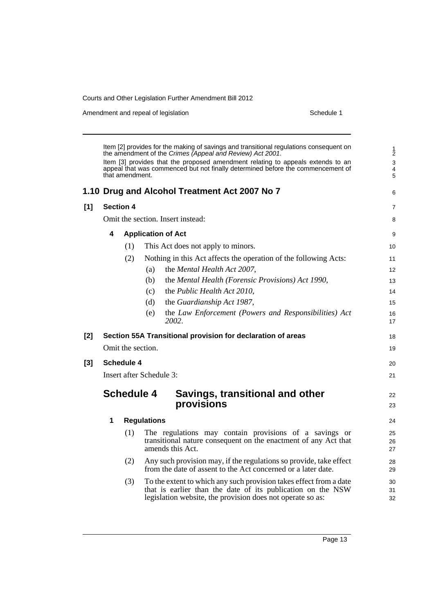Amendment and repeal of legislation Schedule 1

|       | Item [2] provides for the making of savings and transitional regulations consequent on<br>the amendment of the Crimes (Appeal and Review) Act 2001. |                  |                                                                                                                                                                                                 |                   |  |  |  |  |
|-------|-----------------------------------------------------------------------------------------------------------------------------------------------------|------------------|-------------------------------------------------------------------------------------------------------------------------------------------------------------------------------------------------|-------------------|--|--|--|--|
|       |                                                                                                                                                     | that amendment.  | Item [3] provides that the proposed amendment relating to appeals extends to an<br>appeal that was commenced but not finally determined before the commencement of                              | 3<br>4<br>5       |  |  |  |  |
|       |                                                                                                                                                     |                  | 1.10 Drug and Alcohol Treatment Act 2007 No 7                                                                                                                                                   | 6                 |  |  |  |  |
| [1]   |                                                                                                                                                     | <b>Section 4</b> |                                                                                                                                                                                                 | $\overline{7}$    |  |  |  |  |
|       |                                                                                                                                                     |                  | Omit the section. Insert instead:                                                                                                                                                               | 8                 |  |  |  |  |
|       | 4                                                                                                                                                   |                  | <b>Application of Act</b>                                                                                                                                                                       | 9                 |  |  |  |  |
|       |                                                                                                                                                     | (1)              | This Act does not apply to minors.                                                                                                                                                              | 10                |  |  |  |  |
|       |                                                                                                                                                     | (2)              | Nothing in this Act affects the operation of the following Acts:                                                                                                                                | 11                |  |  |  |  |
|       |                                                                                                                                                     |                  | the Mental Health Act 2007,<br>(a)                                                                                                                                                              | $12 \overline{ }$ |  |  |  |  |
|       |                                                                                                                                                     |                  | the Mental Health (Forensic Provisions) Act 1990,<br>(b)                                                                                                                                        | 13                |  |  |  |  |
|       |                                                                                                                                                     |                  | the Public Health Act 2010,<br>(c)                                                                                                                                                              | 14                |  |  |  |  |
|       |                                                                                                                                                     |                  | (d)<br>the Guardianship Act 1987,                                                                                                                                                               | 15                |  |  |  |  |
|       |                                                                                                                                                     |                  | (e)<br>the Law Enforcement (Powers and Responsibilities) Act<br>2002.                                                                                                                           | 16<br>17          |  |  |  |  |
| $[2]$ |                                                                                                                                                     |                  | Section 55A Transitional provision for declaration of areas                                                                                                                                     | 18                |  |  |  |  |
|       |                                                                                                                                                     |                  | Omit the section.                                                                                                                                                                               | 19                |  |  |  |  |
| $[3]$ |                                                                                                                                                     | Schedule 4       |                                                                                                                                                                                                 | 20                |  |  |  |  |
|       |                                                                                                                                                     |                  | Insert after Schedule 3:                                                                                                                                                                        | 21                |  |  |  |  |
|       |                                                                                                                                                     |                  | <b>Schedule 4</b><br>Savings, transitional and other<br>provisions                                                                                                                              | 22<br>23          |  |  |  |  |
|       | 1                                                                                                                                                   |                  | <b>Regulations</b>                                                                                                                                                                              | 24                |  |  |  |  |
|       |                                                                                                                                                     | (1)              | The regulations may contain provisions of a savings or<br>transitional nature consequent on the enactment of any Act that<br>amends this Act.                                                   | 25<br>26<br>27    |  |  |  |  |
|       |                                                                                                                                                     | (2)              | Any such provision may, if the regulations so provide, take effect<br>from the date of assent to the Act concerned or a later date.                                                             | 28<br>29          |  |  |  |  |
|       |                                                                                                                                                     | (3)              | To the extent to which any such provision takes effect from a date<br>that is earlier than the date of its publication on the NSW<br>legislation website, the provision does not operate so as: | 30<br>31<br>32    |  |  |  |  |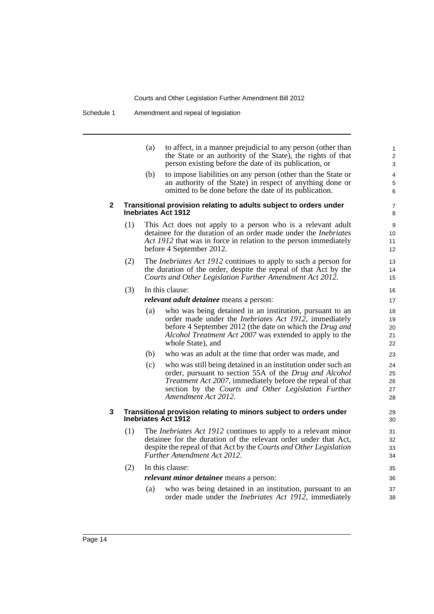Schedule 1 Amendment and repeal of legislation

|   |     | to affect, in a manner prejudicial to any person (other than<br>(a)<br>the State or an authority of the State), the rights of that<br>person existing before the date of its publication, or                                          |
|---|-----|---------------------------------------------------------------------------------------------------------------------------------------------------------------------------------------------------------------------------------------|
|   |     | to impose liabilities on any person (other than the State or<br>(b)<br>an authority of the State) in respect of anything done or<br>omitted to be done before the date of its publication.                                            |
| 2 |     | Transitional provision relating to adults subject to orders under<br><b>Inebriates Act 1912</b>                                                                                                                                       |
|   | (1) | This Act does not apply to a person who is a relevant adult<br>detainee for the duration of an order made under the <i>Inebriates</i><br>Act 1912 that was in force in relation to the person immediately<br>before 4 September 2012. |
|   | (2) | The <i>Inebriates Act 1912</i> continues to apply to such a person for<br>the duration of the order, despite the repeal of that Act by the<br>Courts and Other Legislation Further Amendment Act 2012.                                |
|   | (3) | In this clause:<br><i>relevant adult detainee</i> means a person:                                                                                                                                                                     |
|   |     | who was being detained in an institution, pursuant to an<br>(a)<br>order made under the <i>Inebriates Act 1912</i> , immediately<br>before 4 September 2012 (the date on which the Drug and                                           |

38

- *Alcohol Treatment Act 2007* was extended to apply to the whole State), and
- (b) who was an adult at the time that order was made, and
- (c) who was still being detained in an institution under such an order, pursuant to section 55A of the *Drug and Alcohol Treatment Act 2007*, immediately before the repeal of that section by the *Courts and Other Legislation Further Amendment Act 2012*.

#### **3 Transitional provision relating to minors subject to orders under Inebriates Act 1912**

- (1) The *Inebriates Act 1912* continues to apply to a relevant minor detainee for the duration of the relevant order under that Act, despite the repeal of that Act by the *Courts and Other Legislation Further Amendment Act 2012*.
- (2) In this clause: *relevant minor detainee* means a person: (a) who was being detained in an institution, pursuant to an 35 36 37
	- order made under the *Inebriates Act 1912*, immediately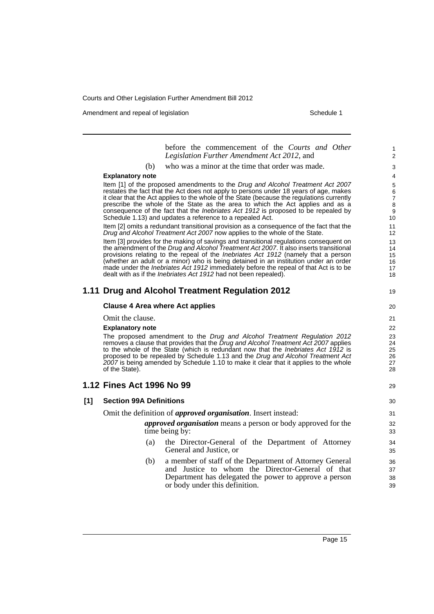Amendment and repeal of legislation Schedule 1 and Schedule 1

before the commencement of the *Courts and Other Legislation Further Amendment Act 2012*, and (b) who was a minor at the time that order was made. **Explanatory note** Item [1] of the proposed amendments to the *Drug and Alcohol Treatment Act 2007* restates the fact that the Act does not apply to persons under 18 years of age, makes it clear that the Act applies to the whole of the State (because the regulations currently prescribe the whole of the State as the area to which the Act applies and as a consequence of the fact that the *Inebriates Act 1912* is proposed to be repealed by Schedule 1.13) and updates a reference to a repealed Act. Item [2] omits a redundant transitional provision as a consequence of the fact that the *Drug and Alcohol Treatment Act 2007* now applies to the whole of the State. Item [3] provides for the making of savings and transitional regulations consequent on the amendment of the *Drug and Alcohol Treatment Act 2007*. It also inserts transitional provisions relating to the repeal of the *Inebriates Act 1912* (namely that a person (whether an adult or a minor) who is being detained in an institution under an order made under the *Inebriates Act 1912* immediately before the repeal of that Act is to be dealt with as if the *Inebriates Act 1912* had not been repealed). **1.11 Drug and Alcohol Treatment Regulation 2012 Clause 4 Area where Act applies** Omit the clause. **Explanatory note** The proposed amendment to the *Drug and Alcohol Treatment Regulation 2012* removes a clause that provides that the *Drug and Alcohol Treatment Act 2007* applies to the whole of the State (which is redundant now that the *Inebriates Act 1912* is proposed to be repealed by Schedule 1.13 and the *Drug and Alcohol Treatment Act 2007* is being amended by Schedule 1.10 to make it clear that it applies to the whole of the State). **1.12 Fines Act 1996 No 99 [1] Section 99A Definitions** Omit the definition of *approved organisation*. Insert instead: *approved organisation* means a person or body approved for the time being by: (a) the Director-General of the Department of Attorney General and Justice, or (b) a member of staff of the Department of Attorney General and Justice to whom the Director-General of that Department has delegated the power to approve a person or body under this definition. 1 2 3 4 5 6 7 8 9 10 11 12 13 14 15 16 17 18 19 20 21 22 23 24 25 26 27 28 29 30 31 32 33 34 35 36 37 38 39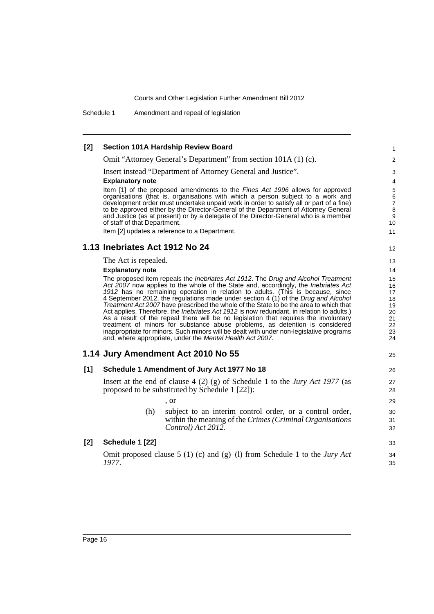Schedule 1 Amendment and repeal of legislation

#### **[2] Section 101A Hardship Review Board** Omit "Attorney General's Department" from section 101A (1) (c). Insert instead "Department of Attorney General and Justice". **Explanatory note** Item [1] of the proposed amendments to the *Fines Act 1996* allows for approved organisations (that is, organisations with which a person subject to a work and development order must undertake unpaid work in order to satisfy all or part of a fine) to be approved either by the Director-General of the Department of Attorney General and Justice (as at present) or by a delegate of the Director-General who is a member of staff of that Department. Item [2] updates a reference to a Department. **1.13 Inebriates Act 1912 No 24** The Act is repealed. **Explanatory note** The proposed item repeals the *Inebriates Act 1912*. The *Drug and Alcohol Treatment Act 2007* now applies to the whole of the State and, accordingly, the *Inebriates Act 1912* has no remaining operation in relation to adults. (This is because, since 4 September 2012, the regulations made under section 4 (1) of the *Drug and Alcohol Treatment Act 2007* have prescribed the whole of the State to be the area to which that Act applies. Therefore, the *Inebriates Act 1912* is now redundant, in relation to adults.) As a result of the repeal there will be no legislation that requires the involuntary treatment of minors for substance abuse problems, as detention is considered inappropriate for minors. Such minors will be dealt with under non-legislative programs and, where appropriate, under the *Mental Health Act 2007*. **1.14 Jury Amendment Act 2010 No 55 [1] Schedule 1 Amendment of Jury Act 1977 No 18** Insert at the end of clause 4 (2) (g) of Schedule 1 to the *Jury Act 1977* (as proposed to be substituted by Schedule 1 [22]): , or (h) subject to an interim control order, or a control order, within the meaning of the *Crimes (Criminal Organisations Control) Act 2012.* **[2] Schedule 1 [22]** Omit proposed clause 5 (1) (c) and (g)–(l) from Schedule 1 to the *Jury Act 1977*. 1  $\mathfrak{p}$ 3 4 5 6 7 8 9 10 11 12 13 14 15 16 17 18 19 20 21 22 23 24 25 26 27 28 29 30 31 32 33 34 35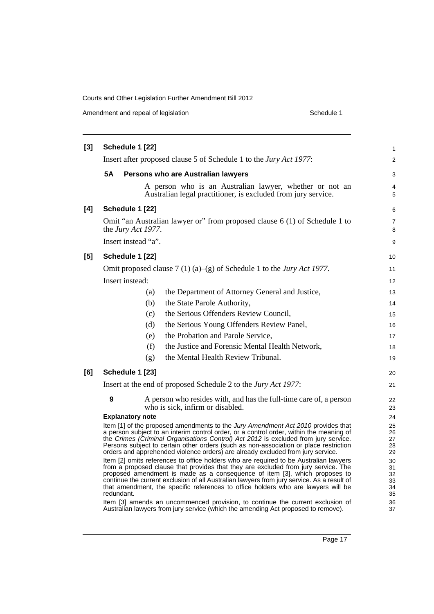Amendment and repeal of legislation Schedule 1

| $[3]$ | Schedule 1 [22]                                                                                                                                                                                                                                                                                                                                                                                                                                            |                     |                                                                                                                                                                     |          |  |
|-------|------------------------------------------------------------------------------------------------------------------------------------------------------------------------------------------------------------------------------------------------------------------------------------------------------------------------------------------------------------------------------------------------------------------------------------------------------------|---------------------|---------------------------------------------------------------------------------------------------------------------------------------------------------------------|----------|--|
|       | Insert after proposed clause 5 of Schedule 1 to the Jury Act 1977:                                                                                                                                                                                                                                                                                                                                                                                         |                     |                                                                                                                                                                     |          |  |
|       | <b>5A</b>                                                                                                                                                                                                                                                                                                                                                                                                                                                  |                     | Persons who are Australian lawyers                                                                                                                                  | 3        |  |
|       |                                                                                                                                                                                                                                                                                                                                                                                                                                                            |                     | A person who is an Australian lawyer, whether or not an<br>Australian legal practitioner, is excluded from jury service.                                            | 4<br>5   |  |
| [4]   |                                                                                                                                                                                                                                                                                                                                                                                                                                                            | Schedule 1 [22]     |                                                                                                                                                                     | 6        |  |
|       | Omit "an Australian lawyer or" from proposed clause 6 (1) of Schedule 1 to<br>the Jury Act 1977.                                                                                                                                                                                                                                                                                                                                                           |                     |                                                                                                                                                                     |          |  |
|       |                                                                                                                                                                                                                                                                                                                                                                                                                                                            | Insert instead "a". |                                                                                                                                                                     | 9        |  |
| $[5]$ |                                                                                                                                                                                                                                                                                                                                                                                                                                                            | Schedule 1 [22]     |                                                                                                                                                                     | 10       |  |
|       |                                                                                                                                                                                                                                                                                                                                                                                                                                                            |                     | Omit proposed clause 7 (1) (a)–(g) of Schedule 1 to the Jury Act 1977.                                                                                              | 11       |  |
|       |                                                                                                                                                                                                                                                                                                                                                                                                                                                            | Insert instead:     |                                                                                                                                                                     | 12       |  |
|       |                                                                                                                                                                                                                                                                                                                                                                                                                                                            | (a)                 | the Department of Attorney General and Justice,                                                                                                                     | 13       |  |
|       |                                                                                                                                                                                                                                                                                                                                                                                                                                                            | (b)                 | the State Parole Authority,                                                                                                                                         | 14       |  |
|       |                                                                                                                                                                                                                                                                                                                                                                                                                                                            | (c)                 | the Serious Offenders Review Council,                                                                                                                               | 15       |  |
|       |                                                                                                                                                                                                                                                                                                                                                                                                                                                            | (d)                 | the Serious Young Offenders Review Panel,                                                                                                                           | 16       |  |
|       |                                                                                                                                                                                                                                                                                                                                                                                                                                                            | (e)                 | the Probation and Parole Service,                                                                                                                                   | 17       |  |
|       |                                                                                                                                                                                                                                                                                                                                                                                                                                                            | (f)                 | the Justice and Forensic Mental Health Network,                                                                                                                     | 18       |  |
|       |                                                                                                                                                                                                                                                                                                                                                                                                                                                            | (g)                 | the Mental Health Review Tribunal.                                                                                                                                  | 19       |  |
| [6]   | Schedule 1 [23]                                                                                                                                                                                                                                                                                                                                                                                                                                            |                     |                                                                                                                                                                     |          |  |
|       | Insert at the end of proposed Schedule 2 to the Jury Act 1977:                                                                                                                                                                                                                                                                                                                                                                                             |                     |                                                                                                                                                                     |          |  |
|       | 9<br>A person who resides with, and has the full-time care of, a person<br>who is sick, infirm or disabled.<br><b>Explanatory note</b><br>Item [1] of the proposed amendments to the Jury Amendment Act 2010 provides that<br>a person subject to an interim control order, or a control order, within the meaning of                                                                                                                                      |                     |                                                                                                                                                                     |          |  |
|       | the Crimes (Criminal Organisations Control) Act 2012 is excluded from jury service.<br>Persons subject to certain other orders (such as non-association or place restriction<br>orders and apprehended violence orders) are already excluded from jury service.                                                                                                                                                                                            |                     |                                                                                                                                                                     |          |  |
|       | Item [2] omits references to office holders who are required to be Australian lawyers<br>from a proposed clause that provides that they are excluded from jury service. The<br>proposed amendment is made as a consequence of item [3], which proposes to<br>continue the current exclusion of all Australian lawyers from jury service. As a result of<br>that amendment, the specific references to office holders who are lawyers will be<br>redundant. |                     |                                                                                                                                                                     |          |  |
|       |                                                                                                                                                                                                                                                                                                                                                                                                                                                            |                     | Item [3] amends an uncommenced provision, to continue the current exclusion of<br>Australian lawyers from jury service (which the amending Act proposed to remove). | 36<br>37 |  |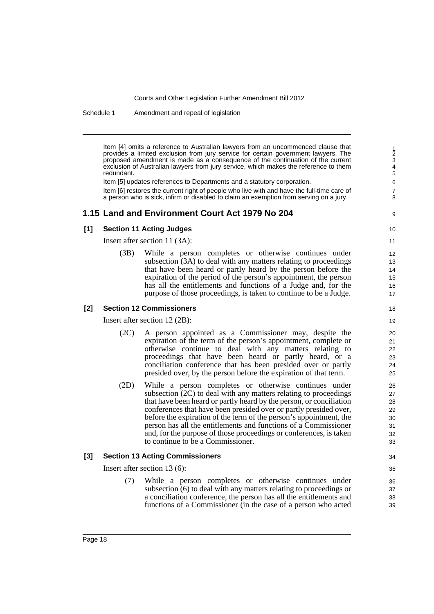Schedule 1 Amendment and repeal of legislation

Item [4] omits a reference to Australian lawyers from an uncommenced clause that provides a limited exclusion from jury service for certain government lawyers. The proposed amendment is made as a consequence of the continuation of the current exclusion of Australian lawyers from jury service, which makes the reference to them redundant.

Item [5] updates references to Departments and a statutory corporation.

Item [6] restores the current right of people who live with and have the full-time care of a person who is sick, infirm or disabled to claim an exemption from serving on a jury.

#### **1.15 Land and Environment Court Act 1979 No 204**

### 9 10

#### **[1] Section 11 Acting Judges**

Insert after section 11 (3A):

(3B) While a person completes or otherwise continues under subsection (3A) to deal with any matters relating to proceedings that have been heard or partly heard by the person before the expiration of the period of the person's appointment, the person has all the entitlements and functions of a Judge and, for the purpose of those proceedings, is taken to continue to be a Judge.

#### **[2] Section 12 Commissioners**

Insert after section 12 (2B):

- (2C) A person appointed as a Commissioner may, despite the expiration of the term of the person's appointment, complete or otherwise continue to deal with any matters relating to proceedings that have been heard or partly heard, or a conciliation conference that has been presided over or partly presided over, by the person before the expiration of that term.
- (2D) While a person completes or otherwise continues under subsection (2C) to deal with any matters relating to proceedings that have been heard or partly heard by the person, or conciliation conferences that have been presided over or partly presided over, before the expiration of the term of the person's appointment, the person has all the entitlements and functions of a Commissioner and, for the purpose of those proceedings or conferences, is taken to continue to be a Commissioner.

#### **[3] Section 13 Acting Commissioners**

Insert after section 13 (6):

(7) While a person completes or otherwise continues under subsection (6) to deal with any matters relating to proceedings or a conciliation conference, the person has all the entitlements and functions of a Commissioner (in the case of a person who acted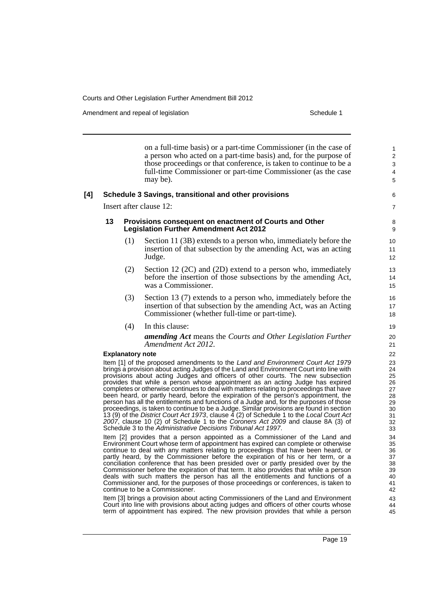Amendment and repeal of legislation Schedule 1 and the Schedule 1 set of legislation

on a full-time basis) or a part-time Commissioner (in the case of a person who acted on a part-time basis) and, for the purpose of those proceedings or that conference, is taken to continue to be a full-time Commissioner or part-time Commissioner (as the case may be). **[4] Schedule 3 Savings, transitional and other provisions** Insert after clause 12: **13 Provisions consequent on enactment of Courts and Other Legislation Further Amendment Act 2012** (1) Section 11 (3B) extends to a person who, immediately before the insertion of that subsection by the amending Act, was an acting Judge. (2) Section 12 (2C) and (2D) extend to a person who, immediately before the insertion of those subsections by the amending Act, was a Commissioner. (3) Section 13 (7) extends to a person who, immediately before the insertion of that subsection by the amending Act, was an Acting Commissioner (whether full-time or part-time). (4) In this clause: *amending Act* means the *Courts and Other Legislation Further Amendment Act 2012*. **Explanatory note** Item [1] of the proposed amendments to the *Land and Environment Court Act 1979* brings a provision about acting Judges of the Land and Environment Court into line with provisions about acting Judges and officers of other courts. The new subsection provides that while a person whose appointment as an acting Judge has expired completes or otherwise continues to deal with matters relating to proceedings that have been heard, or partly heard, before the expiration of the person's appointment, the person has all the entitlements and functions of a Judge and, for the purposes of those proceedings, is taken to continue to be a Judge. Similar provisions are found in section 13 (9) of the *District Court Act 1973*, clause 4 (2) of Schedule 1 to the *Local Court Act 2007*, clause 10 (2) of Schedule 1 to the *Coroners Act 2009* and clause 8A (3) of Schedule 3 to the *Administrative Decisions Tribunal Act 1997*. Item [2] provides that a person appointed as a Commissioner of the Land and Environment Court whose term of appointment has expired can complete or otherwise continue to deal with any matters relating to proceedings that have been heard, or partly heard, by the Commissioner before the expiration of his or her term, or a conciliation conference that has been presided over or partly presided over by the Commissioner before the expiration of that term. It also provides that while a person deals with such matters the person has all the entitlements and functions of a Commissioner and, for the purposes of those proceedings or conferences, is taken to continue to be a Commissioner. 1 2 3 4 5 6 7 8 9  $1<sub>0</sub>$ 11 12 13 14 15 16 17 18 19  $20$ 21 22 23 24 25 26 27 28 29 30 31 32 33 34 35 36 37 38 39 40 41 42

Item [3] brings a provision about acting Commissioners of the Land and Environment Court into line with provisions about acting judges and officers of other courts whose term of appointment has expired. The new provision provides that while a person

Page 19

43 44 45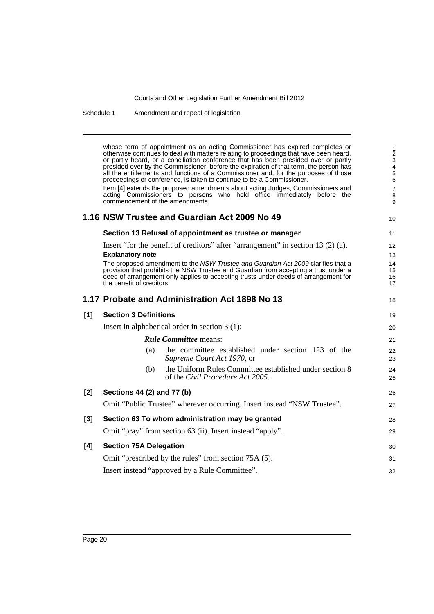Schedule 1 Amendment and repeal of legislation

whose term of appointment as an acting Commissioner has expired completes or otherwise continues to deal with matters relating to proceedings that have been heard, or partly heard, or a conciliation conference that has been presided over or partly presided over by the Commissioner, before the expiration of that term, the person has all the entitlements and functions of a Commissioner and, for the purposes of those proceedings or conference, is taken to continue to be a Commissioner. Item [4] extends the proposed amendments about acting Judges, Commissioners and acting Commissioners to persons who held office immediately before the commencement of the amendments. **1.16 NSW Trustee and Guardian Act 2009 No 49 Section 13 Refusal of appointment as trustee or manager** Insert "for the benefit of creditors" after "arrangement" in section 13 (2) (a). **Explanatory note** The proposed amendment to the *NSW Trustee and Guardian Act 2009* clarifies that a provision that prohibits the NSW Trustee and Guardian from accepting a trust under a deed of arrangement only applies to accepting trusts under deeds of arrangement for the benefit of creditors. **1.17 Probate and Administration Act 1898 No 13 [1] Section 3 Definitions** Insert in alphabetical order in section 3 (1): *Rule Committee* means: (a) the committee established under section 123 of the *Supreme Court Act 1970*, or (b) the Uniform Rules Committee established under section 8 of the *Civil Procedure Act 2005*. **[2] Sections 44 (2) and 77 (b)** Omit "Public Trustee" wherever occurring. Insert instead "NSW Trustee". **[3] Section 63 To whom administration may be granted** Omit "pray" from section 63 (ii). Insert instead "apply". **[4] Section 75A Delegation** Omit "prescribed by the rules" from section 75A (5). Insert instead "approved by a Rule Committee". 1 2 3 4 5 6 7 8 9 10 11 12 13 14 15 16 17 18 19 20 21 22 23 24 25 26 27 28 29 30 31 32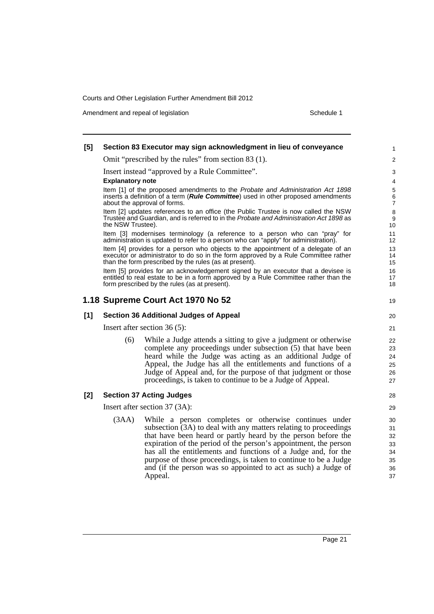Amendment and repeal of legislation Schedule 1 and the Schedule 1 set of legislation

#### **[5] Section 83 Executor may sign acknowledgment in lieu of conveyance** Omit "prescribed by the rules" from section 83 (1). Insert instead "approved by a Rule Committee". **Explanatory note** Item [1] of the proposed amendments to the *Probate and Administration Act 1898* inserts a definition of a term (*Rule Committee*) used in other proposed amendments about the approval of forms. Item [2] updates references to an office (the Public Trustee is now called the NSW Trustee and Guardian, and is referred to in the *Probate and Administration Act 1898* as the NSW Trustee). Item [3] modernises terminology (a reference to a person who can "pray" for administration is updated to refer to a person who can "apply" for administration). Item [4] provides for a person who objects to the appointment of a delegate of an executor or administrator to do so in the form approved by a Rule Committee rather than the form prescribed by the rules (as at present). Item [5] provides for an acknowledgement signed by an executor that a devisee is entitled to real estate to be in a form approved by a Rule Committee rather than the form prescribed by the rules (as at present). **1.18 Supreme Court Act 1970 No 52 [1] Section 36 Additional Judges of Appeal** Insert after section 36 (5): (6) While a Judge attends a sitting to give a judgment or otherwise complete any proceedings under subsection (5) that have been heard while the Judge was acting as an additional Judge of Appeal, the Judge has all the entitlements and functions of a Judge of Appeal and, for the purpose of that judgment or those proceedings, is taken to continue to be a Judge of Appeal. **[2] Section 37 Acting Judges** Insert after section 37 (3A): (3AA) While a person completes or otherwise continues under subsection (3A) to deal with any matters relating to proceedings that have been heard or partly heard by the person before the expiration of the period of the person's appointment, the person has all the entitlements and functions of a Judge and, for the purpose of those proceedings, is taken to continue to be a Judge and (if the person was so appointed to act as such) a Judge of Appeal. 1  $\overline{2}$ 3 4 5 6 7 8 9 10 11 12 13 14 15 16 17 18 19  $20$ 21 22 23 24 25 26 27 28 29 30 31 32 33 34 35 36 37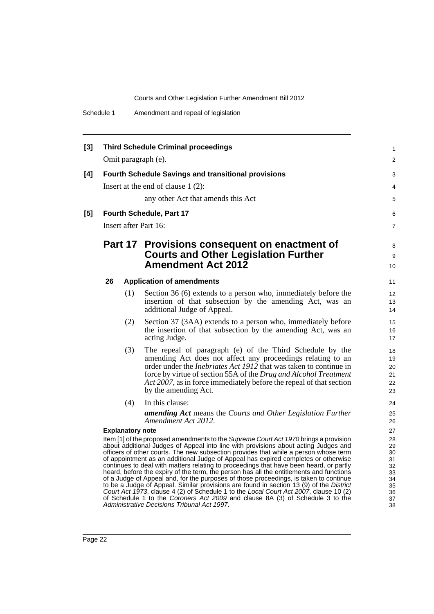| $[3]$ | <b>Third Schedule Criminal proceedings</b>                                                                                                                                                                                                                                                                                                                                                                                                                                                                                                      |     |                                                                                                                                         |                   |  |  |
|-------|-------------------------------------------------------------------------------------------------------------------------------------------------------------------------------------------------------------------------------------------------------------------------------------------------------------------------------------------------------------------------------------------------------------------------------------------------------------------------------------------------------------------------------------------------|-----|-----------------------------------------------------------------------------------------------------------------------------------------|-------------------|--|--|
|       | Omit paragraph (e).                                                                                                                                                                                                                                                                                                                                                                                                                                                                                                                             |     |                                                                                                                                         |                   |  |  |
| [4]   | <b>Fourth Schedule Savings and transitional provisions</b>                                                                                                                                                                                                                                                                                                                                                                                                                                                                                      |     |                                                                                                                                         |                   |  |  |
|       |                                                                                                                                                                                                                                                                                                                                                                                                                                                                                                                                                 |     | Insert at the end of clause $1(2)$ :                                                                                                    | 3<br>4            |  |  |
|       |                                                                                                                                                                                                                                                                                                                                                                                                                                                                                                                                                 |     | any other Act that amends this Act                                                                                                      | 5                 |  |  |
|       |                                                                                                                                                                                                                                                                                                                                                                                                                                                                                                                                                 |     |                                                                                                                                         |                   |  |  |
| [5]   | Fourth Schedule, Part 17                                                                                                                                                                                                                                                                                                                                                                                                                                                                                                                        |     |                                                                                                                                         |                   |  |  |
|       | Insert after Part 16:                                                                                                                                                                                                                                                                                                                                                                                                                                                                                                                           |     |                                                                                                                                         |                   |  |  |
|       |                                                                                                                                                                                                                                                                                                                                                                                                                                                                                                                                                 |     | Part 17 Provisions consequent on enactment of                                                                                           |                   |  |  |
|       |                                                                                                                                                                                                                                                                                                                                                                                                                                                                                                                                                 |     | <b>Courts and Other Legislation Further</b>                                                                                             | 9                 |  |  |
|       |                                                                                                                                                                                                                                                                                                                                                                                                                                                                                                                                                 |     | <b>Amendment Act 2012</b>                                                                                                               | 10                |  |  |
|       | 26                                                                                                                                                                                                                                                                                                                                                                                                                                                                                                                                              |     | <b>Application of amendments</b>                                                                                                        |                   |  |  |
|       |                                                                                                                                                                                                                                                                                                                                                                                                                                                                                                                                                 | (1) | Section 36 (6) extends to a person who, immediately before the                                                                          | $12 \overline{ }$ |  |  |
|       |                                                                                                                                                                                                                                                                                                                                                                                                                                                                                                                                                 |     | insertion of that subsection by the amending Act, was an<br>additional Judge of Appeal.                                                 | 13<br>14          |  |  |
|       |                                                                                                                                                                                                                                                                                                                                                                                                                                                                                                                                                 | (2) | Section 37 (3AA) extends to a person who, immediately before                                                                            | 15                |  |  |
|       |                                                                                                                                                                                                                                                                                                                                                                                                                                                                                                                                                 |     | the insertion of that subsection by the amending Act, was an<br>acting Judge.                                                           | 16<br>17          |  |  |
|       |                                                                                                                                                                                                                                                                                                                                                                                                                                                                                                                                                 | (3) | The repeal of paragraph (e) of the Third Schedule by the<br>amending Act does not affect any proceedings relating to an                 | 18<br>19          |  |  |
|       |                                                                                                                                                                                                                                                                                                                                                                                                                                                                                                                                                 |     | order under the <i>Inebriates Act 1912</i> that was taken to continue in                                                                | 20                |  |  |
|       |                                                                                                                                                                                                                                                                                                                                                                                                                                                                                                                                                 |     | force by virtue of section 55A of the Drug and Alcohol Treatment<br>Act 2007, as in force immediately before the repeal of that section | 21<br>22          |  |  |
|       |                                                                                                                                                                                                                                                                                                                                                                                                                                                                                                                                                 |     | by the amending Act.                                                                                                                    | 23                |  |  |
|       |                                                                                                                                                                                                                                                                                                                                                                                                                                                                                                                                                 | (4) | In this clause:                                                                                                                         | 24                |  |  |
|       |                                                                                                                                                                                                                                                                                                                                                                                                                                                                                                                                                 |     | amending Act means the Courts and Other Legislation Further                                                                             | 25                |  |  |
|       | <b>Explanatory note</b>                                                                                                                                                                                                                                                                                                                                                                                                                                                                                                                         |     | Amendment Act 2012.                                                                                                                     | 26<br>27          |  |  |
|       | Item [1] of the proposed amendments to the Supreme Court Act 1970 brings a provision                                                                                                                                                                                                                                                                                                                                                                                                                                                            |     |                                                                                                                                         |                   |  |  |
|       | about additional Judges of Appeal into line with provisions about acting Judges and<br>officers of other courts. The new subsection provides that while a person whose term<br>of appointment as an additional Judge of Appeal has expired completes or otherwise<br>continues to deal with matters relating to proceedings that have been heard, or partly<br>heard, before the expiry of the term, the person has all the entitlements and functions<br>of a Judge of Appeal and, for the purposes of those proceedings, is taken to continue |     |                                                                                                                                         |                   |  |  |
|       |                                                                                                                                                                                                                                                                                                                                                                                                                                                                                                                                                 |     |                                                                                                                                         |                   |  |  |
|       |                                                                                                                                                                                                                                                                                                                                                                                                                                                                                                                                                 |     |                                                                                                                                         |                   |  |  |
|       |                                                                                                                                                                                                                                                                                                                                                                                                                                                                                                                                                 |     | to be a Judge of Appeal. Similar provisions are found in section 13 (9) of the District                                                 | 34<br>35<br>36    |  |  |
|       | Court Act 1973, clause 4 (2) of Schedule 1 to the Local Court Act 2007, clause 10 (2)<br>of Schedule 1 to the Coroners Act 2009 and clause 8A (3) of Schedule 3 to the                                                                                                                                                                                                                                                                                                                                                                          |     |                                                                                                                                         |                   |  |  |
|       |                                                                                                                                                                                                                                                                                                                                                                                                                                                                                                                                                 |     | Administrative Decisions Tribunal Act 1997.                                                                                             | 38                |  |  |